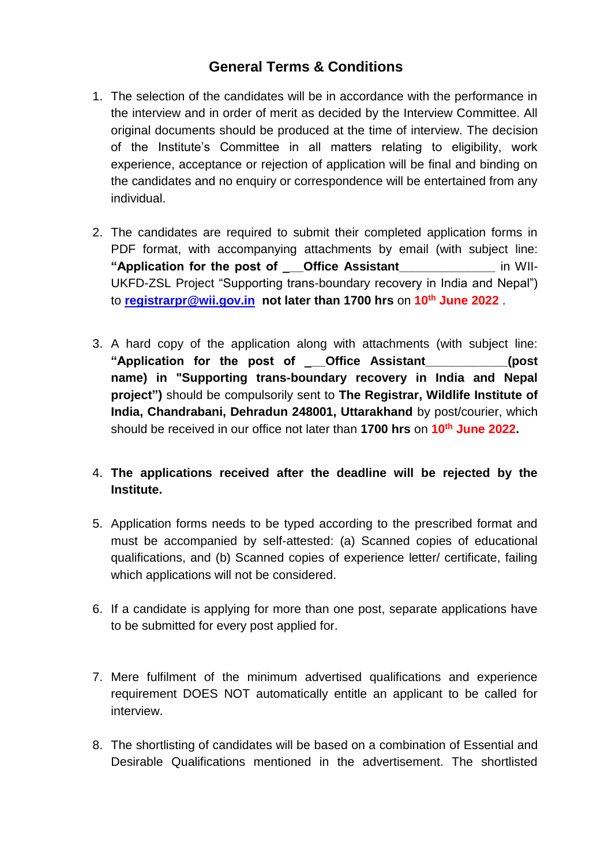## **General Terms & Conditions**

- 1. The selection of the candidates will be in accordance with the performance in the interview and in order of merit as decided by the Interview Committee. All original documents should be produced at the time of interview. The decision of the Institute's Committee in all matters relating to eligibility, work experience, acceptance or rejection of application will be final and binding on the candidates and no enquiry or correspondence will be entertained from any individual.
- 2. The candidates are required to submit their completed application forms in PDF format, with accompanying attachments by email (with subject line: **"Application for the post of \_\_\_Office Assistant\_\_\_\_\_\_\_\_\_\_\_\_\_\_** in WII-UKFD-ZSL Project "Supporting trans-boundary recovery in India and Nepal") to **registrarpr@wii.gov.in not later than 1700 hrs** on **10th June 2022** .
- 3. A hard copy of the application along with attachments (with subject line: **"Application for the post of \_\_\_Office Assistant\_\_\_\_\_\_\_\_\_\_\_\_(post name) in "Supporting trans-boundary recovery in India and Nepal project")** should be compulsorily sent to **The Registrar, Wildlife Institute of India, Chandrabani, Dehradun 248001, Uttarakhand** by post/courier, which should be received in our office not later than **1700 hrs** on **10th June 2022.**
- 4. **The applications received after the deadline will be rejected by the Institute.**
- 5. Application forms needs to be typed according to the prescribed format and must be accompanied by self-attested: (a) Scanned copies of educational qualifications, and (b) Scanned copies of experience letter/ certificate, failing which applications will not be considered.
- 6. If a candidate is applying for more than one post, separate applications have to be submitted for every post applied for.
- 7. Mere fulfilment of the minimum advertised qualifications and experience requirement DOES NOT automatically entitle an applicant to be called for interview.
- 8. The shortlisting of candidates will be based on a combination of Essential and Desirable Qualifications mentioned in the advertisement. The shortlisted